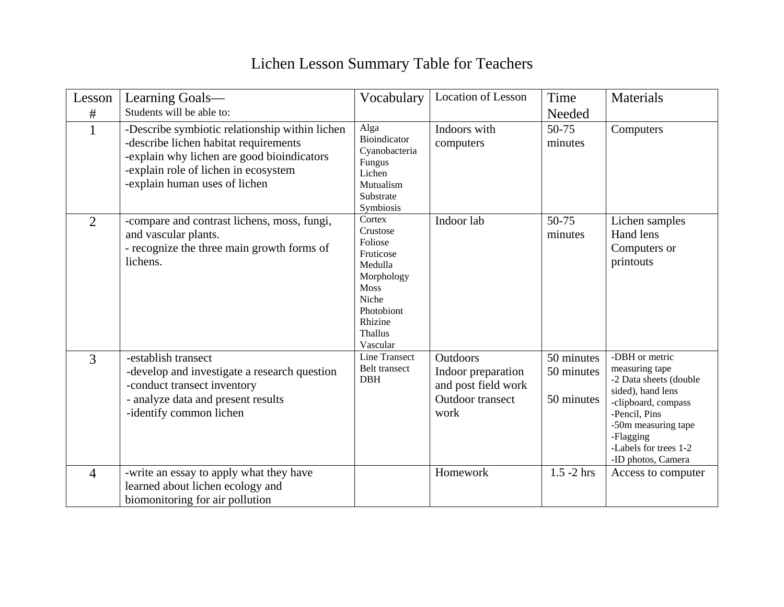## Lichen Lesson Summary Table for Teachers

| Lesson<br>#    | Learning Goals-<br>Students will be able to:                                                                                                                                                                   | Vocabulary                                                                                                                           | <b>Location of Lesson</b>                                                                       | Time                                   | <b>Materials</b>                                                                                                                                                                                           |
|----------------|----------------------------------------------------------------------------------------------------------------------------------------------------------------------------------------------------------------|--------------------------------------------------------------------------------------------------------------------------------------|-------------------------------------------------------------------------------------------------|----------------------------------------|------------------------------------------------------------------------------------------------------------------------------------------------------------------------------------------------------------|
|                | -Describe symbiotic relationship within lichen<br>-describe lichen habitat requirements<br>-explain why lichen are good bioindicators<br>-explain role of lichen in ecosystem<br>-explain human uses of lichen | Alga<br>Bioindicator<br>Cyanobacteria<br>Fungus<br>Lichen<br>Mutualism<br>Substrate<br>Symbiosis                                     | Indoors with<br>computers                                                                       | Needed<br>50-75<br>minutes             | Computers                                                                                                                                                                                                  |
| $\overline{2}$ | -compare and contrast lichens, moss, fungi,<br>and vascular plants.<br>- recognize the three main growth forms of<br>lichens.                                                                                  | Cortex<br>Crustose<br>Foliose<br>Fruticose<br>Medulla<br>Morphology<br>Moss<br>Niche<br>Photobiont<br>Rhizine<br>Thallus<br>Vascular | Indoor lab                                                                                      | 50-75<br>minutes                       | Lichen samples<br>Hand lens<br>Computers or<br>printouts                                                                                                                                                   |
| 3              | -establish transect<br>-develop and investigate a research question<br>-conduct transect inventory<br>- analyze data and present results<br>-identify common lichen                                            | Line Transect<br>Belt transect<br><b>DBH</b>                                                                                         | <b>Outdoors</b><br>Indoor preparation<br>and post field work<br><b>Outdoor</b> transect<br>work | 50 minutes<br>50 minutes<br>50 minutes | -DBH or metric<br>measuring tape<br>-2 Data sheets (double<br>sided), hand lens<br>-clipboard, compass<br>-Pencil, Pins<br>-50m measuring tape<br>-Flagging<br>-Labels for trees 1-2<br>-ID photos, Camera |
| $\overline{4}$ | -write an essay to apply what they have<br>learned about lichen ecology and<br>biomonitoring for air pollution                                                                                                 |                                                                                                                                      | Homework                                                                                        | $1.5 - 2$ hrs                          | Access to computer                                                                                                                                                                                         |